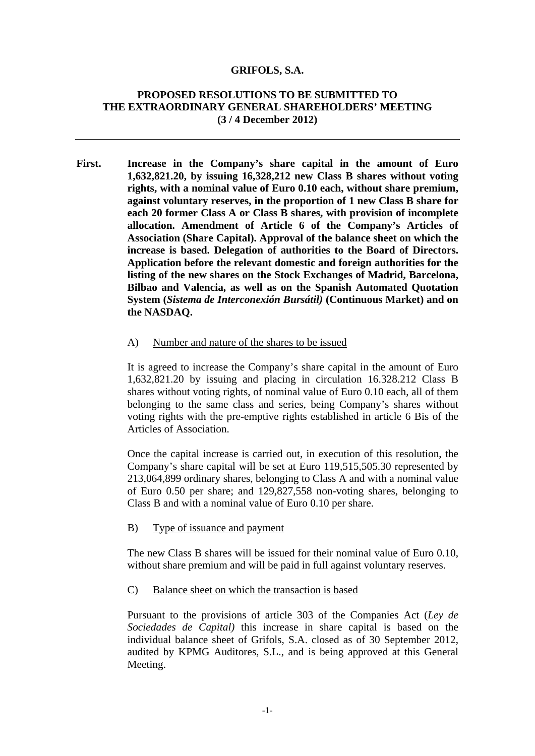#### **GRIFOLS, S.A.**

# **PROPOSED RESOLUTIONS TO BE SUBMITTED TO THE EXTRAORDINARY GENERAL SHAREHOLDERS' MEETING (3 / 4 December 2012)**

**First. Increase in the Company's share capital in the amount of Euro 1,632,821.20, by issuing 16,328,212 new Class B shares without voting rights, with a nominal value of Euro 0.10 each, without share premium, against voluntary reserves, in the proportion of 1 new Class B share for each 20 former Class A or Class B shares, with provision of incomplete allocation. Amendment of Article 6 of the Company's Articles of Association (Share Capital). Approval of the balance sheet on which the increase is based. Delegation of authorities to the Board of Directors. Application before the relevant domestic and foreign authorities for the listing of the new shares on the Stock Exchanges of Madrid, Barcelona, Bilbao and Valencia, as well as on the Spanish Automated Quotation System (***Sistema de Interconexión Bursátil)* **(Continuous Market) and on the NASDAQ.** 

#### A) Number and nature of the shares to be issued

It is agreed to increase the Company's share capital in the amount of Euro 1,632,821.20 by issuing and placing in circulation 16.328.212 Class B shares without voting rights, of nominal value of Euro 0.10 each, all of them belonging to the same class and series, being Company's shares without voting rights with the pre-emptive rights established in article 6 Bis of the Articles of Association.

Once the capital increase is carried out, in execution of this resolution, the Company's share capital will be set at Euro 119,515,505.30 represented by 213,064,899 ordinary shares, belonging to Class A and with a nominal value of Euro 0.50 per share; and 129,827,558 non-voting shares, belonging to Class B and with a nominal value of Euro 0.10 per share.

B) Type of issuance and payment

The new Class B shares will be issued for their nominal value of Euro 0.10, without share premium and will be paid in full against voluntary reserves.

C) Balance sheet on which the transaction is based

Pursuant to the provisions of article 303 of the Companies Act (*Ley de Sociedades de Capital)* this increase in share capital is based on the individual balance sheet of Grifols, S.A. closed as of 30 September 2012, audited by KPMG Auditores, S.L., and is being approved at this General Meeting.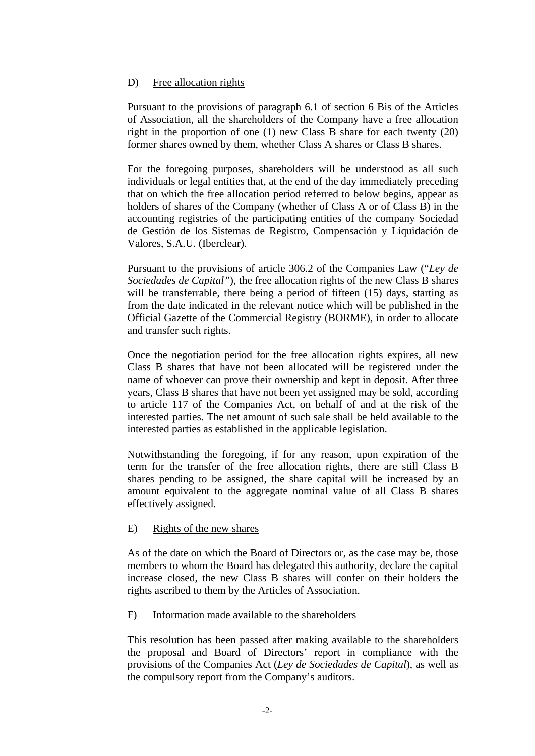# D) Free allocation rights

Pursuant to the provisions of paragraph 6.1 of section 6 Bis of the Articles of Association, all the shareholders of the Company have a free allocation right in the proportion of one (1) new Class B share for each twenty (20) former shares owned by them, whether Class A shares or Class B shares.

For the foregoing purposes, shareholders will be understood as all such individuals or legal entities that, at the end of the day immediately preceding that on which the free allocation period referred to below begins, appear as holders of shares of the Company (whether of Class A or of Class B) in the accounting registries of the participating entities of the company Sociedad de Gestión de los Sistemas de Registro, Compensación y Liquidación de Valores, S.A.U. (Iberclear).

Pursuant to the provisions of article 306.2 of the Companies Law ("*Ley de Sociedades de Capital"*), the free allocation rights of the new Class B shares will be transferrable, there being a period of fifteen (15) days, starting as from the date indicated in the relevant notice which will be published in the Official Gazette of the Commercial Registry (BORME), in order to allocate and transfer such rights.

Once the negotiation period for the free allocation rights expires, all new Class B shares that have not been allocated will be registered under the name of whoever can prove their ownership and kept in deposit. After three years, Class B shares that have not been yet assigned may be sold, according to article 117 of the Companies Act, on behalf of and at the risk of the interested parties. The net amount of such sale shall be held available to the interested parties as established in the applicable legislation.

Notwithstanding the foregoing, if for any reason, upon expiration of the term for the transfer of the free allocation rights, there are still Class B shares pending to be assigned, the share capital will be increased by an amount equivalent to the aggregate nominal value of all Class B shares effectively assigned.

### E) Rights of the new shares

As of the date on which the Board of Directors or, as the case may be, those members to whom the Board has delegated this authority, declare the capital increase closed, the new Class B shares will confer on their holders the rights ascribed to them by the Articles of Association.

### F) Information made available to the shareholders

This resolution has been passed after making available to the shareholders the proposal and Board of Directors' report in compliance with the provisions of the Companies Act (*Ley de Sociedades de Capital*), as well as the compulsory report from the Company's auditors.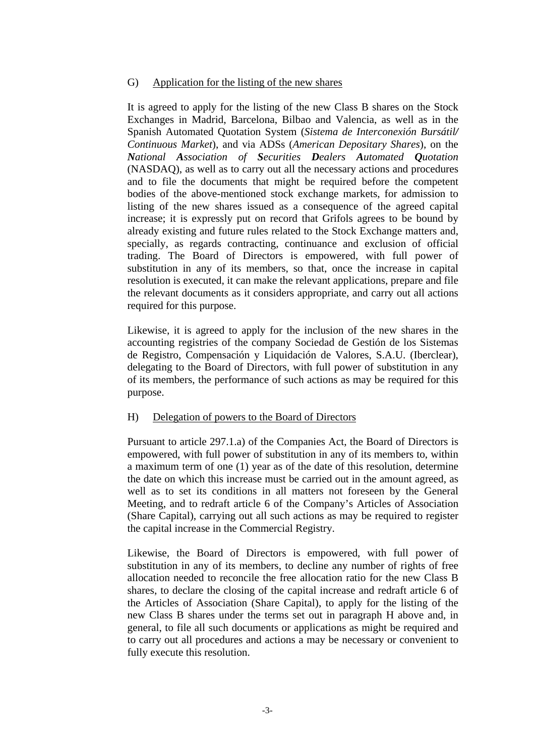### G) Application for the listing of the new shares

It is agreed to apply for the listing of the new Class B shares on the Stock Exchanges in Madrid, Barcelona, Bilbao and Valencia, as well as in the Spanish Automated Quotation System (*Sistema de Interconexión Bursátil/ Continuous Market*), and via ADSs (*American Depositary Shares*), on the *National Association of Securities Dealers Automated Quotation* (NASDAQ), as well as to carry out all the necessary actions and procedures and to file the documents that might be required before the competent bodies of the above-mentioned stock exchange markets, for admission to listing of the new shares issued as a consequence of the agreed capital increase; it is expressly put on record that Grifols agrees to be bound by already existing and future rules related to the Stock Exchange matters and, specially, as regards contracting, continuance and exclusion of official trading. The Board of Directors is empowered, with full power of substitution in any of its members, so that, once the increase in capital resolution is executed, it can make the relevant applications, prepare and file the relevant documents as it considers appropriate, and carry out all actions required for this purpose.

Likewise, it is agreed to apply for the inclusion of the new shares in the accounting registries of the company Sociedad de Gestión de los Sistemas de Registro, Compensación y Liquidación de Valores, S.A.U. (Iberclear), delegating to the Board of Directors, with full power of substitution in any of its members, the performance of such actions as may be required for this purpose.

#### H) Delegation of powers to the Board of Directors

Pursuant to article 297.1.a) of the Companies Act, the Board of Directors is empowered, with full power of substitution in any of its members to, within a maximum term of one (1) year as of the date of this resolution, determine the date on which this increase must be carried out in the amount agreed, as well as to set its conditions in all matters not foreseen by the General Meeting, and to redraft article 6 of the Company's Articles of Association (Share Capital), carrying out all such actions as may be required to register the capital increase in the Commercial Registry.

Likewise, the Board of Directors is empowered, with full power of substitution in any of its members, to decline any number of rights of free allocation needed to reconcile the free allocation ratio for the new Class B shares, to declare the closing of the capital increase and redraft article 6 of the Articles of Association (Share Capital), to apply for the listing of the new Class B shares under the terms set out in paragraph H above and, in general, to file all such documents or applications as might be required and to carry out all procedures and actions a may be necessary or convenient to fully execute this resolution.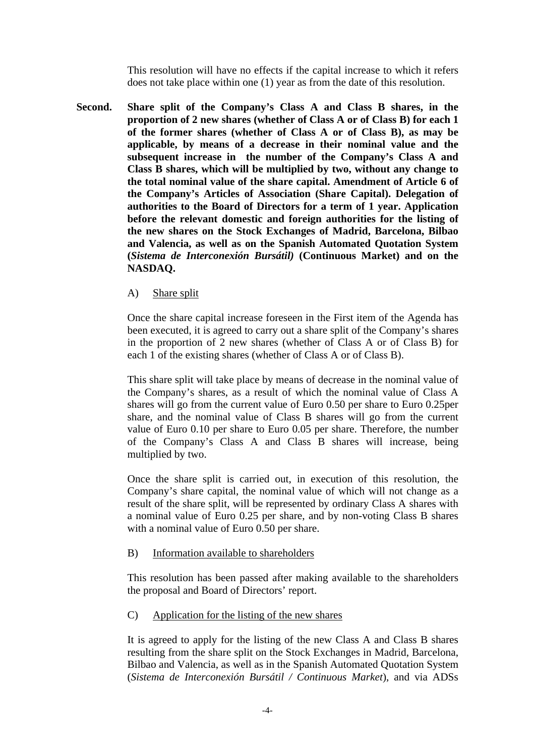This resolution will have no effects if the capital increase to which it refers does not take place within one (1) year as from the date of this resolution.

**Second. Share split of the Company's Class A and Class B shares, in the proportion of 2 new shares (whether of Class A or of Class B) for each 1 of the former shares (whether of Class A or of Class B), as may be applicable, by means of a decrease in their nominal value and the subsequent increase in the number of the Company's Class A and Class B shares, which will be multiplied by two, without any change to the total nominal value of the share capital. Amendment of Article 6 of the Company's Articles of Association (Share Capital). Delegation of authorities to the Board of Directors for a term of 1 year. Application before the relevant domestic and foreign authorities for the listing of the new shares on the Stock Exchanges of Madrid, Barcelona, Bilbao and Valencia, as well as on the Spanish Automated Quotation System (***Sistema de Interconexión Bursátil)* **(Continuous Market) and on the NASDAQ.** 

### A) Share split

Once the share capital increase foreseen in the First item of the Agenda has been executed, it is agreed to carry out a share split of the Company's shares in the proportion of 2 new shares (whether of Class A or of Class B) for each 1 of the existing shares (whether of Class A or of Class B).

This share split will take place by means of decrease in the nominal value of the Company's shares, as a result of which the nominal value of Class A shares will go from the current value of Euro 0.50 per share to Euro 0.25per share, and the nominal value of Class B shares will go from the current value of Euro 0.10 per share to Euro 0.05 per share. Therefore, the number of the Company's Class A and Class B shares will increase, being multiplied by two.

Once the share split is carried out, in execution of this resolution, the Company's share capital, the nominal value of which will not change as a result of the share split, will be represented by ordinary Class A shares with a nominal value of Euro 0.25 per share, and by non-voting Class B shares with a nominal value of Euro 0.50 per share.

### B) Information available to shareholders

This resolution has been passed after making available to the shareholders the proposal and Board of Directors' report.

# C) Application for the listing of the new shares

It is agreed to apply for the listing of the new Class A and Class B shares resulting from the share split on the Stock Exchanges in Madrid, Barcelona, Bilbao and Valencia, as well as in the Spanish Automated Quotation System (*Sistema de Interconexión Bursátil / Continuous Market*), and via ADSs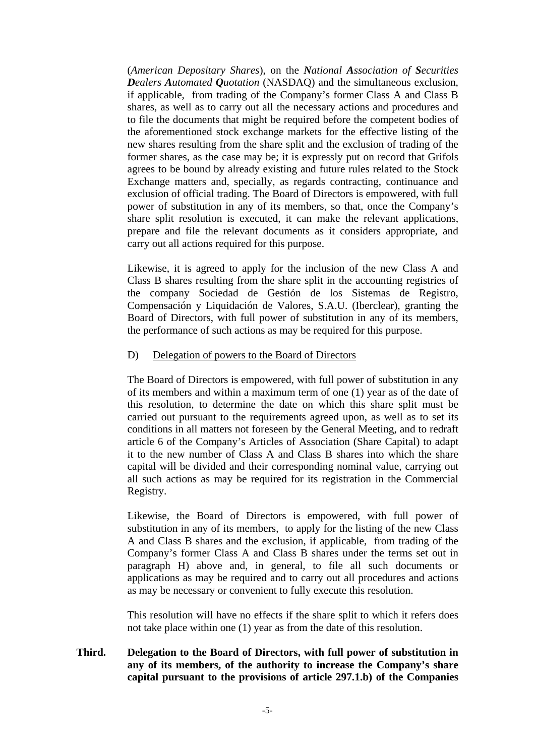(*American Depositary Shares*), on the *National Association of Securities Dealers Automated Quotation* (NASDAQ) and the simultaneous exclusion, if applicable, from trading of the Company's former Class A and Class B shares, as well as to carry out all the necessary actions and procedures and to file the documents that might be required before the competent bodies of the aforementioned stock exchange markets for the effective listing of the new shares resulting from the share split and the exclusion of trading of the former shares, as the case may be; it is expressly put on record that Grifols agrees to be bound by already existing and future rules related to the Stock Exchange matters and, specially, as regards contracting, continuance and exclusion of official trading. The Board of Directors is empowered, with full power of substitution in any of its members, so that, once the Company's share split resolution is executed, it can make the relevant applications, prepare and file the relevant documents as it considers appropriate, and carry out all actions required for this purpose.

Likewise, it is agreed to apply for the inclusion of the new Class A and Class B shares resulting from the share split in the accounting registries of the company Sociedad de Gestión de los Sistemas de Registro, Compensación y Liquidación de Valores, S.A.U. (Iberclear), granting the Board of Directors, with full power of substitution in any of its members, the performance of such actions as may be required for this purpose.

#### D) Delegation of powers to the Board of Directors

The Board of Directors is empowered, with full power of substitution in any of its members and within a maximum term of one (1) year as of the date of this resolution, to determine the date on which this share split must be carried out pursuant to the requirements agreed upon, as well as to set its conditions in all matters not foreseen by the General Meeting, and to redraft article 6 of the Company's Articles of Association (Share Capital) to adapt it to the new number of Class A and Class B shares into which the share capital will be divided and their corresponding nominal value, carrying out all such actions as may be required for its registration in the Commercial Registry.

Likewise, the Board of Directors is empowered, with full power of substitution in any of its members, to apply for the listing of the new Class A and Class B shares and the exclusion, if applicable, from trading of the Company's former Class A and Class B shares under the terms set out in paragraph H) above and, in general, to file all such documents or applications as may be required and to carry out all procedures and actions as may be necessary or convenient to fully execute this resolution.

This resolution will have no effects if the share split to which it refers does not take place within one (1) year as from the date of this resolution.

# **Third. Delegation to the Board of Directors, with full power of substitution in any of its members, of the authority to increase the Company's share capital pursuant to the provisions of article 297.1.b) of the Companies**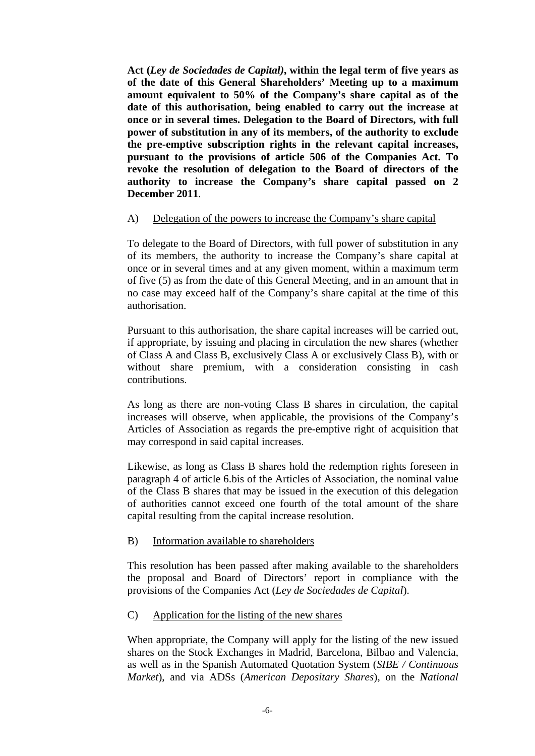**Act (***Ley de Sociedades de Capital)***, within the legal term of five years as of the date of this General Shareholders' Meeting up to a maximum amount equivalent to 50% of the Company's share capital as of the date of this authorisation, being enabled to carry out the increase at once or in several times. Delegation to the Board of Directors, with full power of substitution in any of its members, of the authority to exclude the pre-emptive subscription rights in the relevant capital increases, pursuant to the provisions of article 506 of the Companies Act. To revoke the resolution of delegation to the Board of directors of the authority to increase the Company's share capital passed on 2 December 2011**.

# A) Delegation of the powers to increase the Company's share capital

To delegate to the Board of Directors, with full power of substitution in any of its members, the authority to increase the Company's share capital at once or in several times and at any given moment, within a maximum term of five (5) as from the date of this General Meeting, and in an amount that in no case may exceed half of the Company's share capital at the time of this authorisation.

Pursuant to this authorisation, the share capital increases will be carried out, if appropriate, by issuing and placing in circulation the new shares (whether of Class A and Class B, exclusively Class A or exclusively Class B), with or without share premium, with a consideration consisting in cash contributions.

As long as there are non-voting Class B shares in circulation, the capital increases will observe, when applicable, the provisions of the Company's Articles of Association as regards the pre-emptive right of acquisition that may correspond in said capital increases.

Likewise, as long as Class B shares hold the redemption rights foreseen in paragraph 4 of article 6.bis of the Articles of Association, the nominal value of the Class B shares that may be issued in the execution of this delegation of authorities cannot exceed one fourth of the total amount of the share capital resulting from the capital increase resolution.

### B) Information available to shareholders

This resolution has been passed after making available to the shareholders the proposal and Board of Directors' report in compliance with the provisions of the Companies Act (*Ley de Sociedades de Capital*).

### C) Application for the listing of the new shares

When appropriate, the Company will apply for the listing of the new issued shares on the Stock Exchanges in Madrid, Barcelona, Bilbao and Valencia, as well as in the Spanish Automated Quotation System (*SIBE / Continuous Market*), and via ADSs (*American Depositary Shares*), on the *National*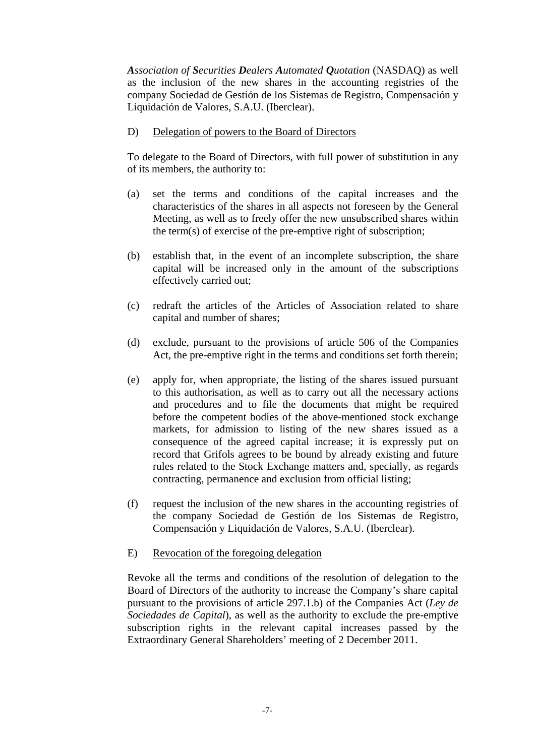*Association of Securities Dealers Automated Quotation* (NASDAQ) as well as the inclusion of the new shares in the accounting registries of the company Sociedad de Gestión de los Sistemas de Registro, Compensación y Liquidación de Valores, S.A.U. (Iberclear).

D) Delegation of powers to the Board of Directors

To delegate to the Board of Directors, with full power of substitution in any of its members, the authority to:

- (a) set the terms and conditions of the capital increases and the characteristics of the shares in all aspects not foreseen by the General Meeting, as well as to freely offer the new unsubscribed shares within the term(s) of exercise of the pre-emptive right of subscription;
- (b) establish that, in the event of an incomplete subscription, the share capital will be increased only in the amount of the subscriptions effectively carried out;
- (c) redraft the articles of the Articles of Association related to share capital and number of shares;
- (d) exclude, pursuant to the provisions of article 506 of the Companies Act, the pre-emptive right in the terms and conditions set forth therein;
- (e) apply for, when appropriate, the listing of the shares issued pursuant to this authorisation, as well as to carry out all the necessary actions and procedures and to file the documents that might be required before the competent bodies of the above-mentioned stock exchange markets, for admission to listing of the new shares issued as a consequence of the agreed capital increase; it is expressly put on record that Grifols agrees to be bound by already existing and future rules related to the Stock Exchange matters and, specially, as regards contracting, permanence and exclusion from official listing;
- (f) request the inclusion of the new shares in the accounting registries of the company Sociedad de Gestión de los Sistemas de Registro, Compensación y Liquidación de Valores, S.A.U. (Iberclear).
- E) Revocation of the foregoing delegation

Revoke all the terms and conditions of the resolution of delegation to the Board of Directors of the authority to increase the Company's share capital pursuant to the provisions of article 297.1.b) of the Companies Act (*Ley de Sociedades de Capital*), as well as the authority to exclude the pre-emptive subscription rights in the relevant capital increases passed by the Extraordinary General Shareholders' meeting of 2 December 2011.